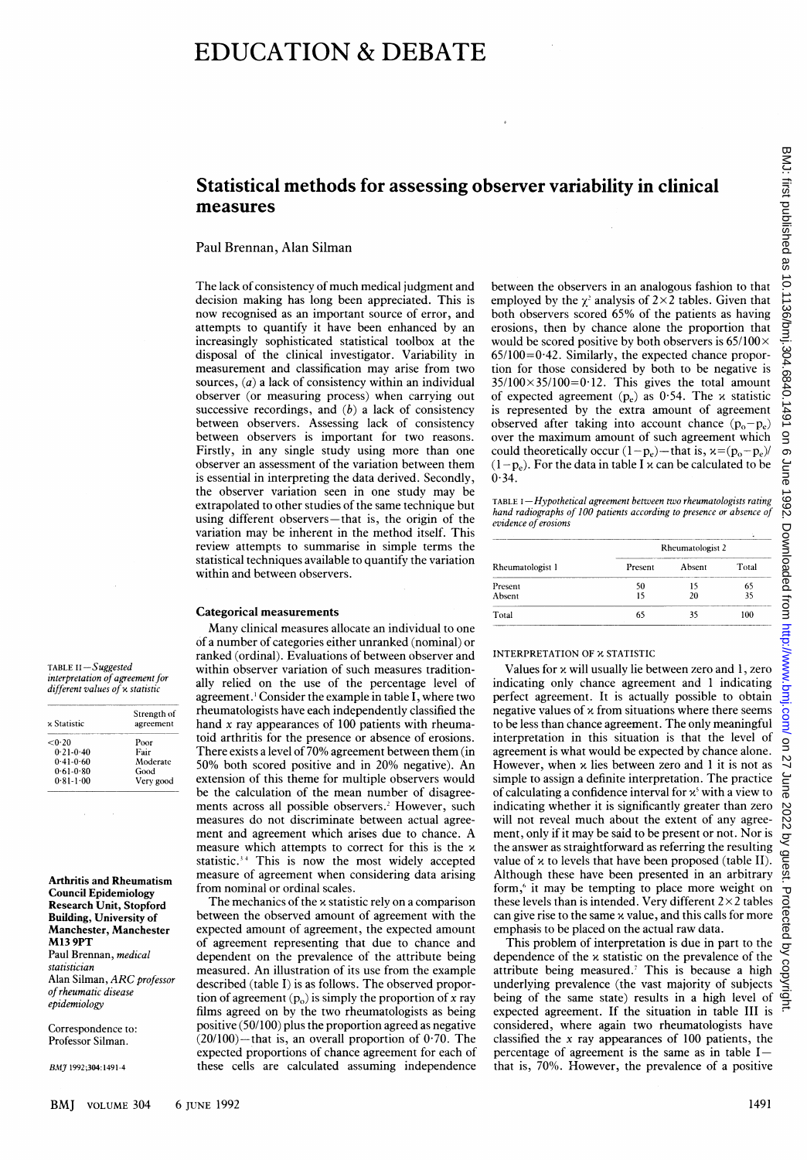# Statistical methods for assessing observer variability in clinical measures

## Paul Brennan, Alan Silman

The lack of consistency of much medical judgment and decision making has long been appreciated. This is now recognised as an important source of error, and attempts to quantify it have been enhanced by an increasingly sophisticated statistical toolbox at the disposal of the clinical investigator. Variability in measurement and classification may arise from two sources,  $(a)$  a lack of consistency within an individual observer (or measuring process) when carrying out successive recordings, and  $(b)$  a lack of consistency between observers. Assessing lack of consistency between observers is important for two reasons. Firstly, in any single study using more than one observer an assessment of the variation between them is essential in interpreting the data derived. Secondly, the observer variation seen in one study may be extrapolated to other studies of the same technique but using different observers-that is, the origin of the variation may be inherent in the method itself. This review attempts to summarise in simple terms the statistical techniques available to quantify the variation within and between observers.

## Categorical measurements

Many clinical measures allocate an individual to one of a number of categories either unranked (nominal) or ranked (ordinal). Evaluations of between observer and within observer variation of such measures traditionally relied on the use of the percentage level of agreement.' Consider the example in table I, where two rheumatologists have each independently classified the hand x ray appearances of 100 patients with rheumatoid arthritis for the presence or absence of erosions. There exists <sup>a</sup> level of 70% agreement between them (in 50% both scored positive and in 20% negative). An extension of this theme for multiple observers would be the calculation of the mean number of disagreements across all possible observers.<sup>2</sup> However, such measures do not discriminate between actual agreement and agreement which arises due to chance. A measure which attempts to correct for this is the  $x$ statistic.<sup>34</sup> This is now the most widely accepted measure of agreement when considering data arising from nominal or ordinal scales.

The mechanics of the x statistic rely on <sup>a</sup> comparison between the observed amount of agreement with the expected amount of agreement, the expected amount of agreement representing that due to chance and dependent on the prevalence of the attribute being measured. An illustration of its use from the example described (table I) is as follows. The observed proportion of agreement  $(p_0)$  is simply the proportion of x ray films agreed on by the two rheumatologists as being positive (50/100) plus the proportion agreed as negative  $(20/100)$ -that is, an overall proportion of 0.70. The expected proportions of chance agreement for each of these cells are calculated assuming independence

between the observers in an analogous fashion to that employed by the  $\chi^2$  analysis of 2×2 tables. Given that both observers scored 65% of the patients as having erosions, then by chance alone the proportion that would be scored positive by both observers is  $65/100 \times$  $65/100=0.42$ . Similarly, the expected chance proportion for those considered by both to be negative is  $35/100 \times 35/100 = 0.12$ . This gives the total amount of expected agreement ( $p_e$ ) as 0.54. The x statistic is represented by the extra amount of agreement observed after taking into account chance  $(p_o-p_e)$ over the maximum amount of such agreement which could theoretically occur  $(1-p_e)$ —that is,  $x=(p_o-p_e)/$  $(1-p_e)$ . For the data in table I x can be calculated to be  $0.34.$ 

TABLE I-Hypothetical agreement between two rheumatologists rating hand radiographs of 100 patients according to presence or absence of evidence of erosions

| Rheumatologist 1 | Rheumatologist 2 |        |       |
|------------------|------------------|--------|-------|
|                  | Present          | Absent | Total |
| Present          | 50               |        | 65    |
| Absent           |                  | 2Ω     |       |
| Total            | 65               | 35     | 100   |

# INTERPRETATION OF X STATISTIC

Values for x will usually lie between zero and 1, zero indicating only chance agreement and <sup>1</sup> indicating perfect agreement. It is actually possible to obtain negative values of  $x$  from situations where there seems to be less than chance agreement. The only meaningful interpretation in this situation is that the level of agreement is what would be expected by chance alone. However, when  $x$  lies between zero and 1 it is not as simple to assign a definite interpretation. The practice of calculating a confidence interval for  $x^3$  with a view to indicating whether it is significantly greater than zero will not reveal much about the extent of any agreement, only if it may be said to be present or not. Nor is the answer as straightforward as referring the resulting value of  $x$  to levels that have been proposed (table II). Although these have been presented in an arbitrary form,<sup>6</sup> it may be tempting to place more weight on these levels than is intended. Very different  $2 \times 2$  tables can give rise to the same x value, and this calls for more emphasis to be placed on the actual raw data.

This problem of interpretation is due in part to the δ dependence of the  $x$  statistic on the prevalence of the Copyrig attribute being measured.<sup>7</sup> This is because a high underlying prevalence (the vast majority of subjects being of the same state) results in a high level of expected agreement. If the situation in table III is considered, where again two rheumatologists have classified the x ray appearances of 100 patients, the percentage of agreement is the same as in table  $I$ that is, 70%. However, the prevalence of a positive

TABLE II-Suggested interpretation of agreement for different values of x statistic

| x Statistic   | Strength of<br>agreement |  |
|---------------|--------------------------|--|
| < 0.20        | Poor                     |  |
| $0.21 - 0.40$ | Fair                     |  |
| $0.41 - 0.60$ | Moderate                 |  |
| $0.61 - 0.80$ | Good                     |  |
| $0.81 - 1.00$ | Very good                |  |

Arthritis and Rheumatism Council Epidemiology Research Unit, Stopford Building, University of Manchester, Manchester M13 9PT Paul Brennan, medical statistician Alan Silman, ARC professor ofrheumatic disease epidemiology

Correspondence to: Professor Silman.

B,MJ 1992;304:1491-4

ög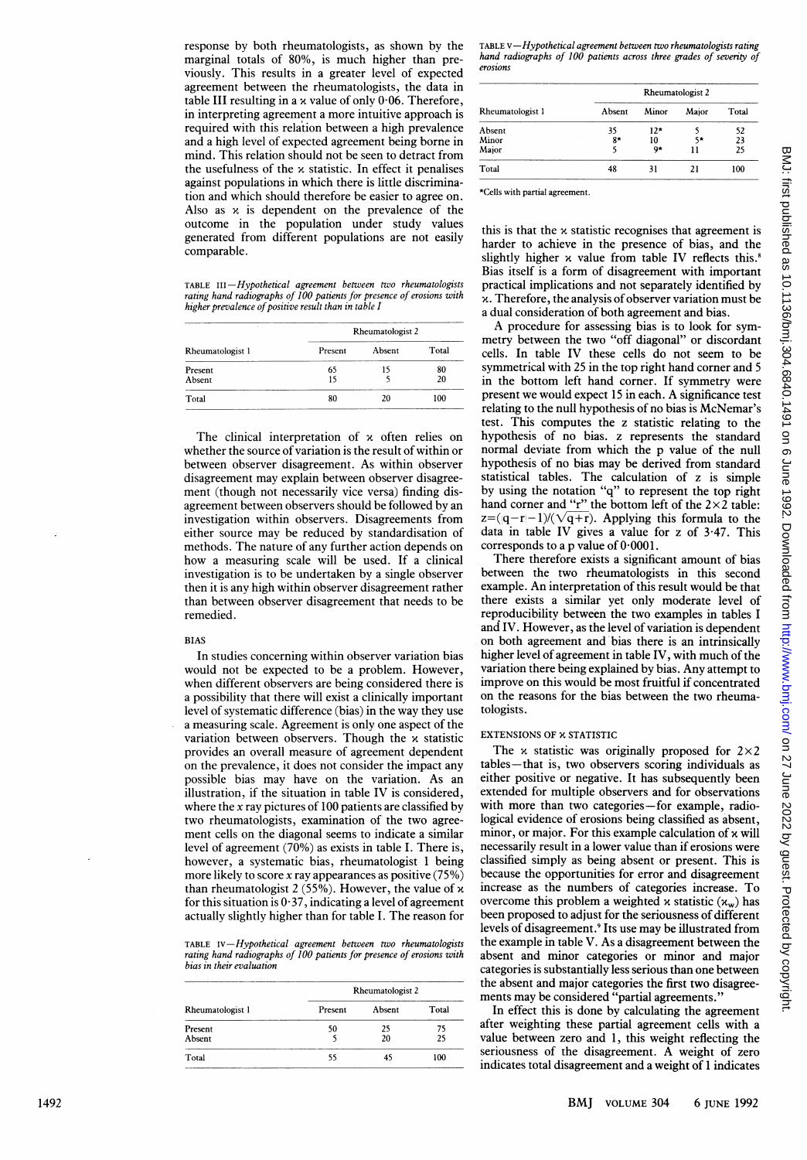response by both rheumatologists, as shown by the marginal totals of 80%, is much higher than previously. This results in a greater level of expected agreement between the rheumatologists, the data in table III resulting in a x value of only 0-06. Therefore, in interpreting agreement a more intuitive approach is required with this relation between a high prevalence and a high level of expected agreement being borne in mind. This relation should not be seen to detract from the usefulness of the x statistic. In effect it penalises against populations in which there is little discrimination and which should therefore be easier to agree on. Also as x is dependent on the prevalence of the outcome in the population under study values generated from different populations are not easily comparable.

TABLE III-Hypothetical agreement between two rheumatologists rating hand radiographs of 100 patients for presence of erosions with<br>higher prevalence of positive result than in table I

| Rheumatologist 1 | Rheumatologist 2 |           |       |  |
|------------------|------------------|-----------|-------|--|
|                  | Present          | Absent    | Total |  |
| Present          | 65               | 15        | 80    |  |
| Absent           | 15               |           | 20    |  |
| Total            | 80               | 100<br>20 |       |  |

The clinical interpretation of x often relies on whether the source of variation is the result of within or between observer disagreement. As within observer disagreement may explain between observer disagreement (though not necessarily vice versa) finding disagreement between observers should be followed by an investigation within observers. Disagreements from either source may be reduced by standardisation of methods. The nature of any further action depends on how a measuring scale will be used. If a clinical investigation is to be undertaken by a single observer then it is any high within observer disagreement rather than between observer disagreement that needs to be remedied.

## BIAS

In studies concerning within observer variation bias would not be expected to be a problem. However, when different observers are being considered there is a possibility that there will exist a clinically important level of systematic difference (bias) in the way they use a measuring scale. Agreement is only one aspect of the variation between observers. Though the x statistic provides an overall measure of agreement dependent on the prevalence, it does not consider the impact any possible bias may have on the variation. As an illustration, if the situation in table IV is considered, where the x ray pictures of 100 patients are classified by two rheumatologists, examination of the two agreement cells on the diagonal seems to indicate a similar level of agreement (70%) as exists in table I. There is, however, a systematic bias, rheumatologist <sup>1</sup> being more likely to score x ray appearances as positive (75%) than rheumatologist 2 (55%). However, the value of x for this situation is  $0.37$ , indicating a level of agreement actually slightly higher than for table I. The reason for

TABLE IV-Hypothetical agreement between two rheumatologists rating hand radiographs of 100 patients for presence of erosions with bias in their evaluation

| Rheumatologist 1 | Rheumatologist 2 |        |       |  |
|------------------|------------------|--------|-------|--|
|                  | Present          | Absent | Total |  |
| Present          | 50               | 25     | 75    |  |
| Absent           |                  | 20     | 25    |  |
| Total            | 55               |        | 100   |  |

 $TABLE V-Hypothetical agreement between two rheumatologists rating$ hand radiographs of 100 patients across three grades of severity of erosions

| Rheumatologist 1 | <b>Rheumatologist 2</b> |       |       |       |
|------------------|-------------------------|-------|-------|-------|
|                  | Absent                  | Minor | Major | Total |
| Absent           | 35                      | $12*$ |       | 52    |
| Minor            | $8*$                    | 10    | 5*    | 23    |
| Major            |                         | 9*    | 11    | 25    |
| Total            | 48                      | 31    | 21    | 100   |

\*Cells with partial agreement.

this is that the x statistic recognises that agreement is harder to achieve in the presence of bias, and the slightly higher  $\alpha$  value from table IV reflects this.<sup>8</sup> Bias itself is a form of disagreement with important practical implications and not separately identified by x. Therefore, the analysis of observer variation must be a dual consideration of both agreement and bias.

A procedure for assessing bias is to look for symmetry between the two "off diagonal" or discordant cells. In table IV these cells do not seem to be symmetrical with 25 in the top right hand corner and 5 in the bottom left hand corner. If symmetry were present we would expect 15 in each. A significance test relating to the null hypothesis of no bias is McNemar's test. This computes the z statistic relating to the hypothesis of no bias. z represents the standard normal deviate from which the p value of the null hypothesis of no bias may be derived from standard statistical tables. The calculation of z is simple by using the notation "q" to represent the top right hand corner and "r" the bottom left of the  $2 \times 2$  table:  $z=(|q-r|-1)/(\sqrt{q}+r)$ . Applying this formula to the data in table IV gives a value for z of 3-47. This corresponds to a p value of  $0.0001$ .

There therefore exists a significant amount of bias between the two rheumatologists in this second example. An interpretation of this result would be that there exists a similar yet only moderate level of reproducibility between the two examples in tables I and IV. However, as the level of variation is dependent on both agreement and bias there is an intrinsically higher level of agreement in table IV, with much of the variation there being explained by bias. Any attempt to improve on this would be most fruitful if concentrated on the reasons for the bias between the two rheumatologists.

#### EXTENSIONS OF X STATISTIC

The  $x$  statistic was originally proposed for  $2 \times 2$ tables-that is, two observers scoring individuals as either positive or negative. It has subsequently been extended for multiple observers and for observations with more than two categories-for example, radiological evidence of erosions being classified as absent, minor, or major. For this example calculation of  $\alpha$  will necessarily result in a lower value than if erosions were classified simply as being absent or present. This is because the opportunities for error and disagreement increase as the numbers of categories increase. To overcome this problem a weighted x statistic  $(x_w)$  has been proposed to adjust for the seriousness of different levels of disagreement.9 Its use may be illustrated from the example in table V. As a disagreement between the absent and minor categories or minor and major categories is substantially less serious than one between the absent and major categories the first two disagreements may be considered "partial agreements."

In effect this is done by calculating the agreement after weighting these partial agreement cells with a value between zero and 1, this weight reflecting the seriousness of the disagreement. A weight of zero indicates total disagreement and a weight of 1 indicates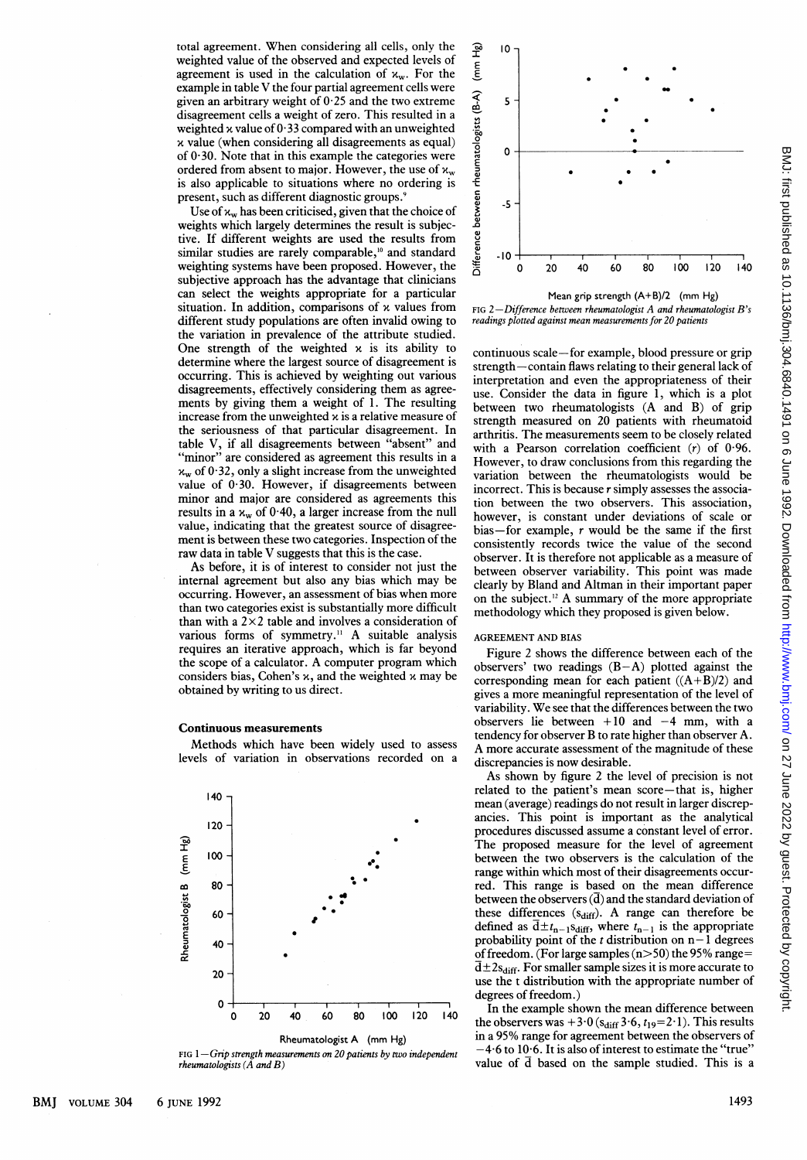total agreement. When considering all cells, only the weighted value of the observed and expected levels of agreement is used in the calculation of  $x_w$ . For the example in table V the four partial agreement cells were given an arbitrary weight of  $0.25$  and the two extreme disagreement cells a weight of zero. This resulted in a weighted x value of  $0.33$  compared with an unweighted  $x$  value (when considering all disagreements as equal) of  $0.30$ . Note that in this example the categories were ordered from absent to major. However, the use of  $x_w$ is also applicable to situations where no ordering is present, such as different diagnostic groups.<sup>9</sup>

Use of  $x_w$  has been criticised, given that the choice of weights which largely determines the result is subjective. If different weights are used the results from similar studies are rarely comparable,<sup>10</sup> and standard weighting systems have been proposed. However, the subjective approach has the advantage that clinicians can select the weights appropriate for a particular situation. In addition, comparisons of  $x$  values from different study populations are often invalid owing to the variation in prevalence of the attribute studied. One strength of the weighted  $x$  is its ability to determine where the largest source of disagreement is occurring. This is achieved by weighting out various disagreements, effectively considering them as agreements by giving them a weight of 1. The resulting increase from the unweighted  $x$  is a relative measure of the seriousness of that particular disagreement. In table V, if all disagreements between "absent" and "minor" are considered as agreement this results in a  $x_w$  of 0.32, only a slight increase from the unweighted value of  $0.30$ . However, if disagreements between minor and major are considered as agreements this results in a  $x_w$  of 0 40, a larger increase from the null value, indicating that the greatest source of disagreement is between these two categories. Inspection of the raw data in table V suggests that this is the case.

As before, it is of interest to consider not just the internal agreement but also any bias which may be occurring. However, an assessment of bias when more than two categories exist is substantially more difficult than with a  $2 \times 2$  table and involves a consideration of various forms of symmetry." A suitable analysis requires an iterative approach, which is far beyond the scope of <sup>a</sup> calculator. A computer program which considers bias, Cohen's  $x$ , and the weighted  $x$  may be obtained by writing to us direct.

### Continuous measurements

Methods which have been widely used to assess levels of variation in observations recorded on a



FIG  $1-G$ rip strength measurements on 20 patients by two independent rheumatologists  $(\tilde{A}$  and  $B)$ 



FIG 2-Difference between rheumatologist  $A$  and rheumatologist  $B$ 's readings plotted against mean measurements for 20 patients

continuous scale-for example, blood pressure or grip strength – contain flaws relating to their general lack of interpretation and even the appropriateness of their use. Consider the data in figure 1, which is a plot between two rheumatologists (A and B) of grip strength measured on 20 patients with rheumatoid arthritis. The measurements seem to be closely related with a Pearson correlation coefficient  $(r)$  of 0.96. However, to draw conclusions from this regarding the variation between the rheumatologists would be incorrect. This is because  $r$  simply assesses the association between the two observers. This association, however, is constant under deviations of scale or bias-for example,  $r$  would be the same if the first consistently records twice the value of the second observer. It is therefore not applicable as a measure of between observer variability. This point was made clearly by Bland and Altman in their important paper on the subject.'2 A summary of the more appropriate methodology which they proposed is given below.

#### AGREEMENT AND BIAS

Figure 2 shows the difference between each of the observers' two readings  $(B-A)$  plotted against the corresponding mean for each patient  $((A+B)/2)$  and gives a more meaningful representation of the level of variability. We see that the differences between the two observers lie between  $+10$  and  $-4$  mm, with a tendency for observer B to rate higher than observer A. A more accurate assessment of the magnitude of these discrepancies is now desirable.

As shown by figure 2 the level of precision is not related to the patient's mean score-that is, higher mean (average) readings do not result in larger discrepancies. This point is important as the analytical procedures discussed assume a constant level of error. The proposed measure for the level of agreement between the two observers is the calculation of the range within which most of their disagreements occurred. This range is based on the mean difference between the observers  $(\overline{d})$  and the standard deviation of these differences  $(s_{diff})$ . A range can therefore be defined as  $d \pm t_{n-1} s_{diff}$ , where  $t_{n-1}$  is the appropriate probability point of the  $t$  distribution on  $n-1$  degrees of freedom. (For large samples (n>50) the 95% range=  $\overline{d} \pm 2s_{\text{diff}}$ . For smaller sample sizes it is more accurate to use the <sup>t</sup> distribution with the appropriate number of degrees of freedom.)

In the example shown the mean difference between the observers was  $+3.0$  (s<sub>diff</sub> 3.6,  $t_{19}=2.1$ ). This results in a 95% range for agreement between the observers of  $-4.6$  to  $10.6$ . It is also of interest to estimate the "true" value of  $\overline{d}$  based on the sample studied. This is a